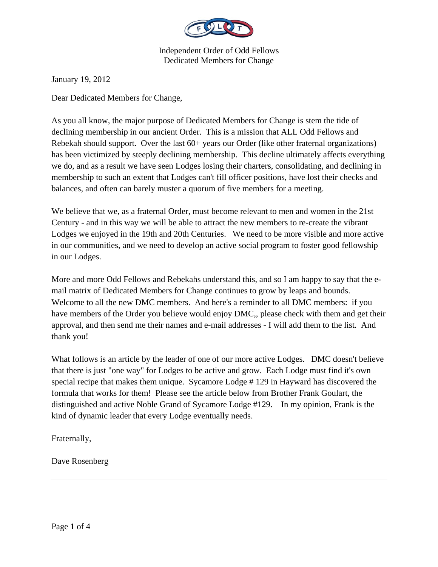

January 19, 2012

Dear Dedicated Members for Change,

As you all know, the major purpose of Dedicated Members for Change is stem the tide of declining membership in our ancient Order. This is a mission that ALL Odd Fellows and Rebekah should support. Over the last 60+ years our Order (like other fraternal organizations) has been victimized by steeply declining membership. This decline ultimately affects everything we do, and as a result we have seen Lodges losing their charters, consolidating, and declining in membership to such an extent that Lodges can't fill officer positions, have lost their checks and balances, and often can barely muster a quorum of five members for a meeting.

We believe that we, as a fraternal Order, must become relevant to men and women in the 21st Century - and in this way we will be able to attract the new members to re-create the vibrant Lodges we enjoyed in the 19th and 20th Centuries. We need to be more visible and more active in our communities, and we need to develop an active social program to foster good fellowship in our Lodges.

More and more Odd Fellows and Rebekahs understand this, and so I am happy to say that the email matrix of Dedicated Members for Change continues to grow by leaps and bounds. Welcome to all the new DMC members. And here's a reminder to all DMC members: if you have members of the Order you believe would enjoy DMC,, please check with them and get their approval, and then send me their names and e-mail addresses - I will add them to the list. And thank you!

What follows is an article by the leader of one of our more active Lodges. DMC doesn't believe that there is just "one way" for Lodges to be active and grow. Each Lodge must find it's own special recipe that makes them unique. Sycamore Lodge # 129 in Hayward has discovered the formula that works for them! Please see the article below from Brother Frank Goulart, the distinguished and active Noble Grand of Sycamore Lodge #129. In my opinion, Frank is the kind of dynamic leader that every Lodge eventually needs.

Fraternally,

Dave Rosenberg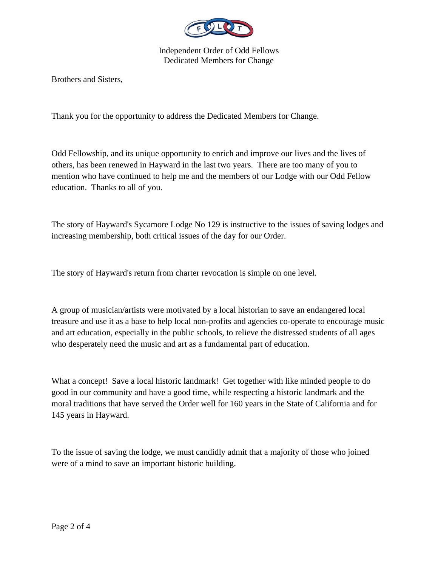

Brothers and Sisters,

Thank you for the opportunity to address the Dedicated Members for Change.

Odd Fellowship, and its unique opportunity to enrich and improve our lives and the lives of others, has been renewed in Hayward in the last two years. There are too many of you to mention who have continued to help me and the members of our Lodge with our Odd Fellow education. Thanks to all of you.

The story of Hayward's Sycamore Lodge No 129 is instructive to the issues of saving lodges and increasing membership, both critical issues of the day for our Order.

The story of Hayward's return from charter revocation is simple on one level.

A group of musician/artists were motivated by a local historian to save an endangered local treasure and use it as a base to help local non-profits and agencies co-operate to encourage music and art education, especially in the public schools, to relieve the distressed students of all ages who desperately need the music and art as a fundamental part of education.

What a concept! Save a local historic landmark! Get together with like minded people to do good in our community and have a good time, while respecting a historic landmark and the moral traditions that have served the Order well for 160 years in the State of California and for 145 years in Hayward.

To the issue of saving the lodge, we must candidly admit that a majority of those who joined were of a mind to save an important historic building.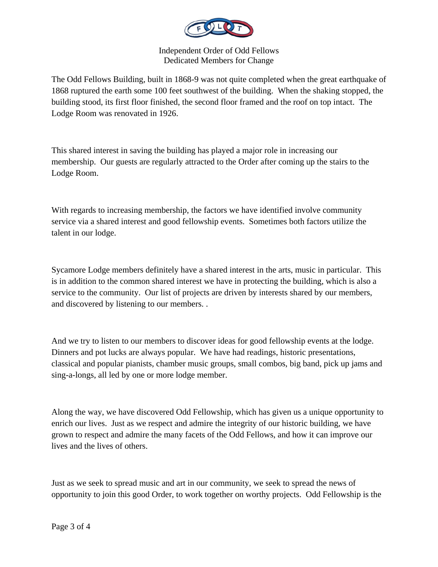

The Odd Fellows Building, built in 1868-9 was not quite completed when the great earthquake of 1868 ruptured the earth some 100 feet southwest of the building. When the shaking stopped, the building stood, its first floor finished, the second floor framed and the roof on top intact. The Lodge Room was renovated in 1926.

This shared interest in saving the building has played a major role in increasing our membership. Our guests are regularly attracted to the Order after coming up the stairs to the Lodge Room.

With regards to increasing membership, the factors we have identified involve community service via a shared interest and good fellowship events. Sometimes both factors utilize the talent in our lodge.

Sycamore Lodge members definitely have a shared interest in the arts, music in particular. This is in addition to the common shared interest we have in protecting the building, which is also a service to the community. Our list of projects are driven by interests shared by our members, and discovered by listening to our members. .

And we try to listen to our members to discover ideas for good fellowship events at the lodge. Dinners and pot lucks are always popular. We have had readings, historic presentations, classical and popular pianists, chamber music groups, small combos, big band, pick up jams and sing-a-longs, all led by one or more lodge member.

Along the way, we have discovered Odd Fellowship, which has given us a unique opportunity to enrich our lives. Just as we respect and admire the integrity of our historic building, we have grown to respect and admire the many facets of the Odd Fellows, and how it can improve our lives and the lives of others.

Just as we seek to spread music and art in our community, we seek to spread the news of opportunity to join this good Order, to work together on worthy projects. Odd Fellowship is the